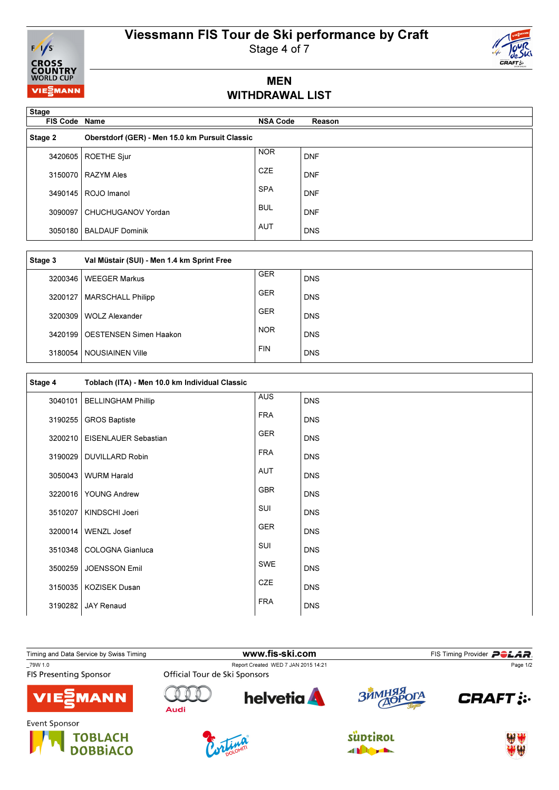# Viessmann FIS Tour de Ski performance by Craft



Stage 4 of 7

### MEN WITHDRAWAL LIST

| <b>Stage</b><br><b>FIS Code Name</b> |                                                | <b>NSA Code</b> | Reason     |
|--------------------------------------|------------------------------------------------|-----------------|------------|
| Stage 2                              | Oberstdorf (GER) - Men 15.0 km Pursuit Classic |                 |            |
| 3420605                              | <b>ROETHE Sjur</b>                             | <b>NOR</b>      | <b>DNF</b> |
| 3150070                              | <b>RAZYM Ales</b>                              | <b>CZE</b>      | <b>DNF</b> |
| 3490145                              | ROJO Imanol                                    | <b>SPA</b>      | <b>DNF</b> |
| 3090097                              | CHUCHUGANOV Yordan                             | <b>BUL</b>      | <b>DNF</b> |
| 3050180                              | <b>BALDAUF Dominik</b>                         | <b>AUT</b>      | <b>DNS</b> |

| Stage 3   | Val Müstair (SUI) - Men 1.4 km Sprint Free |            |            |
|-----------|--------------------------------------------|------------|------------|
| 3200346   | <b>WEEGER Markus</b>                       | <b>GER</b> | <b>DNS</b> |
| 3200127   | <b>MARSCHALL Philipp</b>                   | <b>GER</b> | <b>DNS</b> |
| 3200309   | <b>WOLZ Alexander</b>                      | <b>GER</b> | <b>DNS</b> |
| 3420199 l | <b>OESTENSEN Simen Haakon</b>              | <b>NOR</b> | <b>DNS</b> |
|           | 3180054   NOUSIAINEN Ville                 | <b>FIN</b> | <b>DNS</b> |

| Stage 4 | Toblach (ITA) - Men 10.0 km Individual Classic |            |            |
|---------|------------------------------------------------|------------|------------|
| 3040101 | <b>BELLINGHAM Phillip</b>                      | <b>AUS</b> | <b>DNS</b> |
| 3190255 | <b>GROS Baptiste</b>                           | <b>FRA</b> | <b>DNS</b> |
| 3200210 | EISENLAUER Sebastian                           | <b>GER</b> | <b>DNS</b> |
| 3190029 | <b>DUVILLARD Robin</b>                         | <b>FRA</b> | <b>DNS</b> |
| 3050043 | <b>WURM Harald</b>                             | AUT        | <b>DNS</b> |
| 3220016 | <b>YOUNG Andrew</b>                            | <b>GBR</b> | <b>DNS</b> |
| 3510207 | KINDSCHI Joeri                                 | SUI        | <b>DNS</b> |
| 3200014 | WENZL Josef                                    | <b>GER</b> | <b>DNS</b> |
| 3510348 | <b>COLOGNA Gianluca</b>                        | SUI        | <b>DNS</b> |
| 3500259 | <b>JOENSSON Emil</b>                           | <b>SWE</b> | <b>DNS</b> |
| 3150035 | <b>KOZISEK Dusan</b>                           | CZE        | <b>DNS</b> |
| 3190282 | <b>JAY Renaud</b>                              | <b>FRA</b> | <b>DNS</b> |

Timing and Data Service by Swiss Timing **Example 2012 12:5 WWW.fis-ski.com** FIS Timing Provider **PCLAR**<br>The Page 1/2 Timing Provider PCLAR Report Created WED 7 JAN 2015 14:21<br>Official Tour de Ski Sponsors Page 1/2**FIS Presenting Sponsor helvetia** RRHMI n  $\mathbb{N}$ **CRAFT: :** ГA **MANN Audi** Event Sponsor